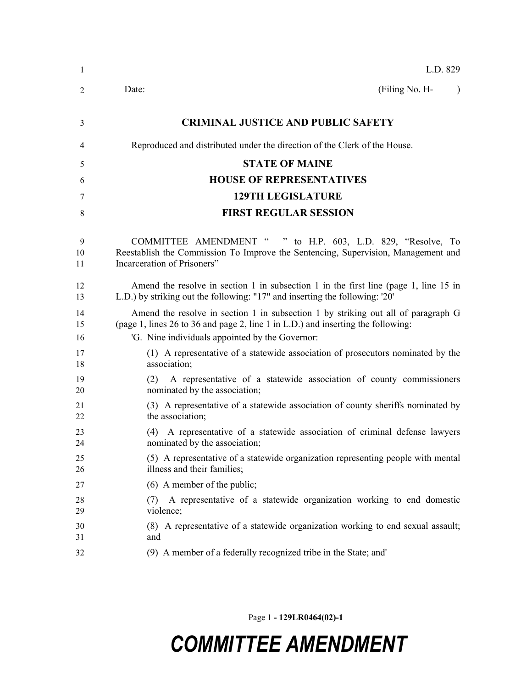| 1              | L.D. 829                                                                                                                                                                                                                 |
|----------------|--------------------------------------------------------------------------------------------------------------------------------------------------------------------------------------------------------------------------|
| 2              | (Filing No. H-<br>Date:<br>$\lambda$                                                                                                                                                                                     |
| 3              | <b>CRIMINAL JUSTICE AND PUBLIC SAFETY</b>                                                                                                                                                                                |
| 4              | Reproduced and distributed under the direction of the Clerk of the House.                                                                                                                                                |
| 5              | <b>STATE OF MAINE</b>                                                                                                                                                                                                    |
| 6              | <b>HOUSE OF REPRESENTATIVES</b>                                                                                                                                                                                          |
| 7              | <b>129TH LEGISLATURE</b>                                                                                                                                                                                                 |
| 8              | <b>FIRST REGULAR SESSION</b>                                                                                                                                                                                             |
| 9<br>10<br>11  | COMMITTEE AMENDMENT "<br>" to H.P. 603, L.D. 829, "Resolve, To<br>Reestablish the Commission To Improve the Sentencing, Supervision, Management and<br>Incarceration of Prisoners"                                       |
| 12<br>13       | Amend the resolve in section 1 in subsection 1 in the first line (page 1, line 15 in<br>L.D.) by striking out the following: "17" and inserting the following: '20'                                                      |
| 14<br>15<br>16 | Amend the resolve in section 1 in subsection 1 by striking out all of paragraph G<br>(page 1, lines 26 to 36 and page 2, line 1 in L.D.) and inserting the following:<br>'G. Nine individuals appointed by the Governor: |
| 17<br>18       | (1) A representative of a statewide association of prosecutors nominated by the<br>association;                                                                                                                          |
| 19<br>20       | A representative of a statewide association of county commissioners<br>(2)<br>nominated by the association;                                                                                                              |
| 21<br>22       | (3) A representative of a statewide association of county sheriffs nominated by<br>the association;                                                                                                                      |
| 23<br>24       | A representative of a statewide association of criminal defense lawyers<br>(4)<br>nominated by the association;                                                                                                          |
| 25<br>26       | (5) A representative of a statewide organization representing people with mental<br>illness and their families;                                                                                                          |
| 27             | $(6)$ A member of the public;                                                                                                                                                                                            |
| 28<br>29       | A representative of a statewide organization working to end domestic<br>(7)<br>violence;                                                                                                                                 |
| 30<br>31       | (8) A representative of a statewide organization working to end sexual assault;<br>and                                                                                                                                   |
| 32             | (9) A member of a federally recognized tribe in the State; and'                                                                                                                                                          |

Page 1 **- 129LR0464(02)-1**

## *COMMITTEE AMENDMENT*